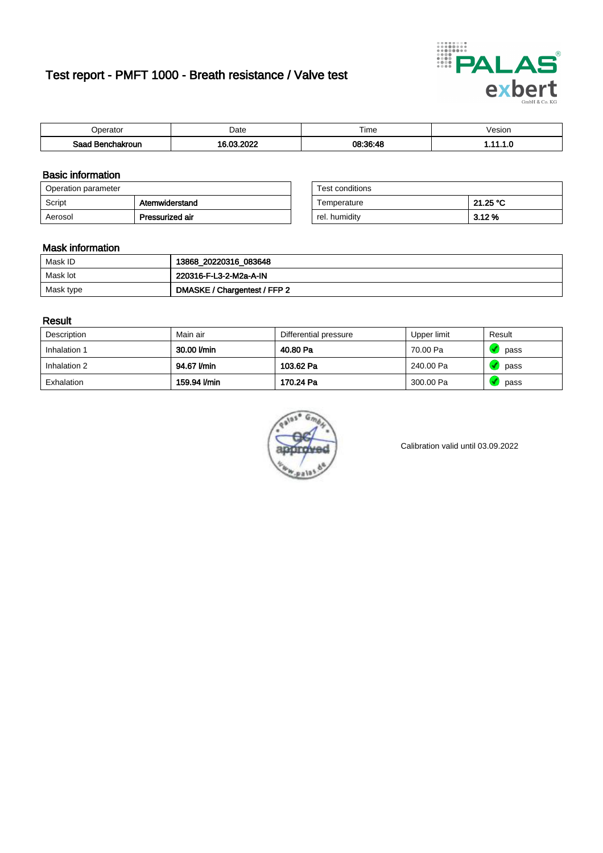# Test report - PMFT 1000 - Breath resistance / Valve test



| )perator               | Date                             | $- \cdot$<br>i ime | esion |
|------------------------|----------------------------------|--------------------|-------|
| המס<br>hakroun<br>32 H | 0000<br>$\sim$ 00 $\sim$<br>---- | 08:36:48           | .     |

### Basic information

| Operation parameter |                 | Test conditions |          |
|---------------------|-----------------|-----------------|----------|
| Script              | Atemwiderstand  | Temperature     | 21.25 °C |
| Aerosol             | Pressurized air | rel. humidity   | 3.12 %   |

| Test conditions |          |
|-----------------|----------|
| Temperature     | 21.25 °C |
| rel. humidity   | 3.12%    |

### Mask information

| Mask ID   | 13868_20220316_083648        |
|-----------|------------------------------|
| Mask lot  | 220316-F-L3-2-M2a-A-IN       |
| Mask type | DMASKE / Chargentest / FFP 2 |

### Result

| Description  | Main air     | Differential pressure | Upper limit | Result |
|--------------|--------------|-----------------------|-------------|--------|
| Inhalation 1 | 30.00 l/min  | 40.80 Pa              | 70.00 Pa    | pass   |
| Inhalation 2 | 94.67 l/min  | 103.62 Pa             | 240.00 Pa   | pass   |
| Exhalation   | 159.94 l/min | 170.24 Pa             | 300.00 Pa   | pass   |



Calibration valid until 03.09.2022